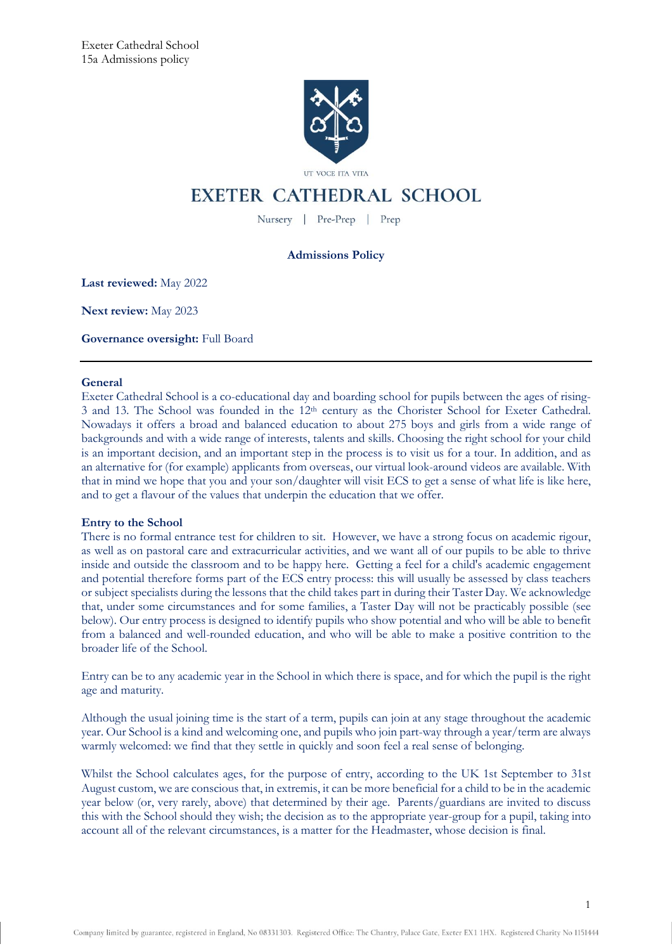

# **EXETER CATHEDRAL SCHOOL**

Nursery | Pre-Prep | Prep

# **Admissions Policy**

**Last reviewed:** May 2022

**Next review:** May 2023

**Governance oversight:** Full Board

# **General**

Exeter Cathedral School is a co-educational day and boarding school for pupils between the ages of rising-3 and 13. The School was founded in the 12<sup>th</sup> century as the Chorister School for Exeter Cathedral. Nowadays it offers a broad and balanced education to about 275 boys and girls from a wide range of backgrounds and with a wide range of interests, talents and skills. Choosing the right school for your child is an important decision, and an important step in the process is to visit us for a tour. In addition, and as an alternative for (for example) applicants from overseas, our virtual look-around videos are available. With that in mind we hope that you and your son/daughter will visit ECS to get a sense of what life is like here, and to get a flavour of the values that underpin the education that we offer.

# **Entry to the School**

There is no formal entrance test for children to sit. However, we have a strong focus on academic rigour, as well as on pastoral care and extracurricular activities, and we want all of our pupils to be able to thrive inside and outside the classroom and to be happy here. Getting a feel for a child's academic engagement and potential therefore forms part of the ECS entry process: this will usually be assessed by class teachers or subject specialists during the lessons that the child takes part in during their Taster Day. We acknowledge that, under some circumstances and for some families, a Taster Day will not be practicably possible (see below). Our entry process is designed to identify pupils who show potential and who will be able to benefit from a balanced and well-rounded education, and who will be able to make a positive contrition to the broader life of the School.

Entry can be to any academic year in the School in which there is space, and for which the pupil is the right age and maturity.

Although the usual joining time is the start of a term, pupils can join at any stage throughout the academic year. Our School is a kind and welcoming one, and pupils who join part-way through a year/term are always warmly welcomed: we find that they settle in quickly and soon feel a real sense of belonging.

Whilst the School calculates ages, for the purpose of entry, according to the UK 1st September to 31st August custom, we are conscious that, in extremis, it can be more beneficial for a child to be in the academic year below (or, very rarely, above) that determined by their age. Parents/guardians are invited to discuss this with the School should they wish; the decision as to the appropriate year-group for a pupil, taking into account all of the relevant circumstances, is a matter for the Headmaster, whose decision is final.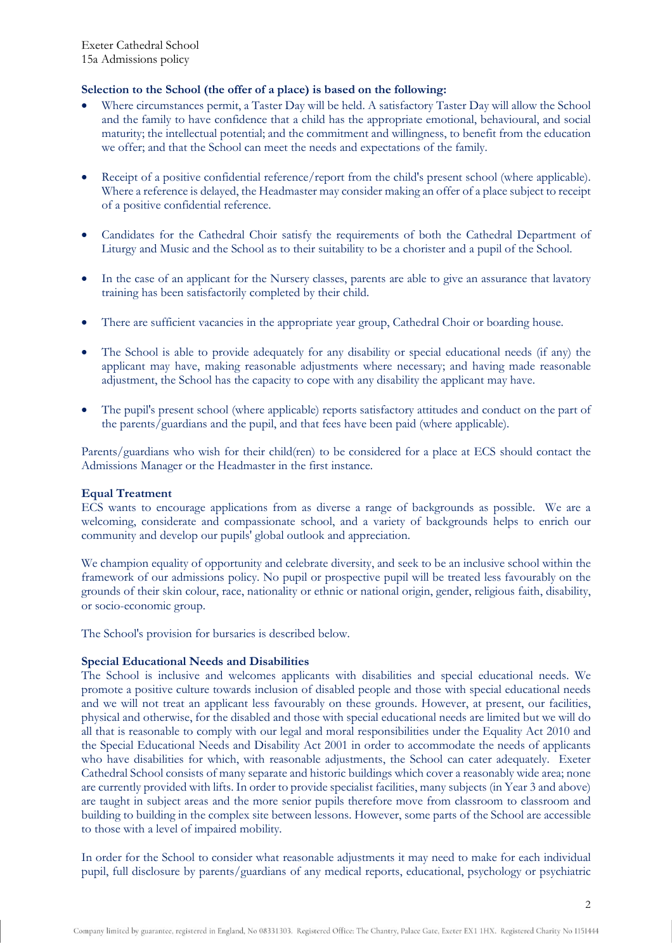# **Selection to the School (the offer of a place) is based on the following:**

- Where circumstances permit, a Taster Day will be held. A satisfactory Taster Day will allow the School and the family to have confidence that a child has the appropriate emotional, behavioural, and social maturity; the intellectual potential; and the commitment and willingness, to benefit from the education we offer; and that the School can meet the needs and expectations of the family.
- Receipt of a positive confidential reference/report from the child's present school (where applicable). Where a reference is delayed, the Headmaster may consider making an offer of a place subject to receipt of a positive confidential reference.
- Candidates for the Cathedral Choir satisfy the requirements of both the Cathedral Department of Liturgy and Music and the School as to their suitability to be a chorister and a pupil of the School.
- In the case of an applicant for the Nursery classes, parents are able to give an assurance that lavatory training has been satisfactorily completed by their child.
- There are sufficient vacancies in the appropriate year group, Cathedral Choir or boarding house.
- The School is able to provide adequately for any disability or special educational needs (if any) the applicant may have, making reasonable adjustments where necessary; and having made reasonable adjustment, the School has the capacity to cope with any disability the applicant may have.
- The pupil's present school (where applicable) reports satisfactory attitudes and conduct on the part of the parents/guardians and the pupil, and that fees have been paid (where applicable).

Parents/guardians who wish for their child(ren) to be considered for a place at ECS should contact the Admissions Manager or the Headmaster in the first instance.

# **Equal Treatment**

ECS wants to encourage applications from as diverse a range of backgrounds as possible. We are a welcoming, considerate and compassionate school, and a variety of backgrounds helps to enrich our community and develop our pupils' global outlook and appreciation.

We champion equality of opportunity and celebrate diversity, and seek to be an inclusive school within the framework of our admissions policy. No pupil or prospective pupil will be treated less favourably on the grounds of their skin colour, race, nationality or ethnic or national origin, gender, religious faith, disability, or socio-economic group.

The School's provision for bursaries is described below.

# **Special Educational Needs and Disabilities**

The School is inclusive and welcomes applicants with disabilities and special educational needs. We promote a positive culture towards inclusion of disabled people and those with special educational needs and we will not treat an applicant less favourably on these grounds. However, at present, our facilities, physical and otherwise, for the disabled and those with special educational needs are limited but we will do all that is reasonable to comply with our legal and moral responsibilities under the Equality Act 2010 and the Special Educational Needs and Disability Act 2001 in order to accommodate the needs of applicants who have disabilities for which, with reasonable adjustments, the School can cater adequately. Exeter Cathedral School consists of many separate and historic buildings which cover a reasonably wide area; none are currently provided with lifts. In order to provide specialist facilities, many subjects (in Year 3 and above) are taught in subject areas and the more senior pupils therefore move from classroom to classroom and building to building in the complex site between lessons. However, some parts of the School are accessible to those with a level of impaired mobility.

In order for the School to consider what reasonable adjustments it may need to make for each individual pupil, full disclosure by parents/guardians of any medical reports, educational, psychology or psychiatric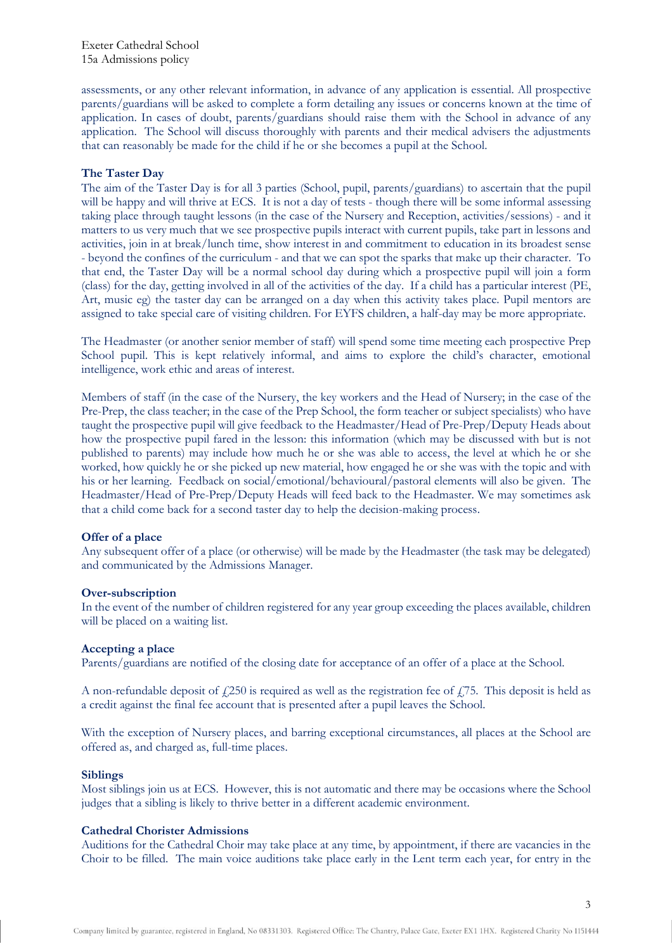Exeter Cathedral School 15a Admissions policy

assessments, or any other relevant information, in advance of any application is essential. All prospective parents/guardians will be asked to complete a form detailing any issues or concerns known at the time of application. In cases of doubt, parents/guardians should raise them with the School in advance of any application. The School will discuss thoroughly with parents and their medical advisers the adjustments that can reasonably be made for the child if he or she becomes a pupil at the School.

# **The Taster Day**

The aim of the Taster Day is for all 3 parties (School, pupil, parents/guardians) to ascertain that the pupil will be happy and will thrive at ECS. It is not a day of tests - though there will be some informal assessing taking place through taught lessons (in the case of the Nursery and Reception, activities/sessions) - and it matters to us very much that we see prospective pupils interact with current pupils, take part in lessons and activities, join in at break/lunch time, show interest in and commitment to education in its broadest sense - beyond the confines of the curriculum - and that we can spot the sparks that make up their character. To that end, the Taster Day will be a normal school day during which a prospective pupil will join a form (class) for the day, getting involved in all of the activities of the day. If a child has a particular interest (PE, Art, music eg) the taster day can be arranged on a day when this activity takes place. Pupil mentors are assigned to take special care of visiting children. For EYFS children, a half-day may be more appropriate.

The Headmaster (or another senior member of staff) will spend some time meeting each prospective Prep School pupil. This is kept relatively informal, and aims to explore the child's character, emotional intelligence, work ethic and areas of interest.

Members of staff (in the case of the Nursery, the key workers and the Head of Nursery; in the case of the Pre-Prep, the class teacher; in the case of the Prep School, the form teacher or subject specialists) who have taught the prospective pupil will give feedback to the Headmaster/Head of Pre-Prep/Deputy Heads about how the prospective pupil fared in the lesson: this information (which may be discussed with but is not published to parents) may include how much he or she was able to access, the level at which he or she worked, how quickly he or she picked up new material, how engaged he or she was with the topic and with his or her learning. Feedback on social/emotional/behavioural/pastoral elements will also be given. The Headmaster/Head of Pre-Prep/Deputy Heads will feed back to the Headmaster. We may sometimes ask that a child come back for a second taster day to help the decision-making process.

# **Offer of a place**

Any subsequent offer of a place (or otherwise) will be made by the Headmaster (the task may be delegated) and communicated by the Admissions Manager.

## **Over-subscription**

In the event of the number of children registered for any year group exceeding the places available, children will be placed on a waiting list.

#### **Accepting a place**

Parents/guardians are notified of the closing date for acceptance of an offer of a place at the School.

A non-refundable deposit of  $f(250)$  is required as well as the registration fee of  $f(75)$ . This deposit is held as a credit against the final fee account that is presented after a pupil leaves the School.

With the exception of Nursery places, and barring exceptional circumstances, all places at the School are offered as, and charged as, full-time places.

## **Siblings**

Most siblings join us at ECS. However, this is not automatic and there may be occasions where the School judges that a sibling is likely to thrive better in a different academic environment.

#### **Cathedral Chorister Admissions**

Auditions for the Cathedral Choir may take place at any time, by appointment, if there are vacancies in the Choir to be filled. The main voice auditions take place early in the Lent term each year, for entry in the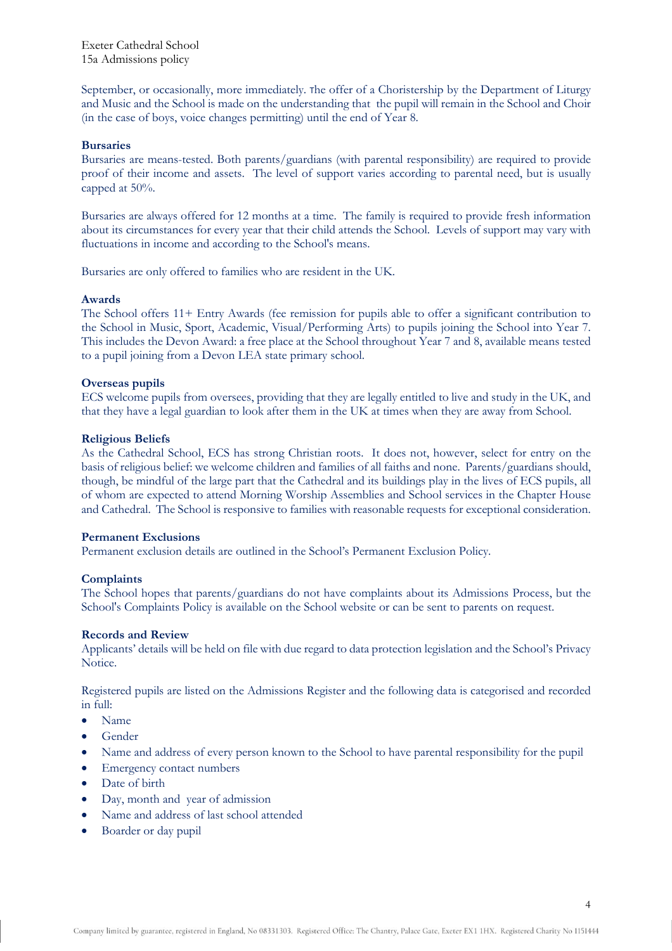Exeter Cathedral School 15a Admissions policy

September, or occasionally, more immediately. The offer of a Choristership by the Department of Liturgy and Music and the School is made on the understanding that the pupil will remain in the School and Choir (in the case of boys, voice changes permitting) until the end of Year 8.

# **Bursaries**

Bursaries are means-tested. Both parents/guardians (with parental responsibility) are required to provide proof of their income and assets. The level of support varies according to parental need, but is usually capped at 50%.

Bursaries are always offered for 12 months at a time. The family is required to provide fresh information about its circumstances for every year that their child attends the School. Levels of support may vary with fluctuations in income and according to the School's means.

Bursaries are only offered to families who are resident in the UK.

#### **Awards**

The School offers 11+ Entry Awards (fee remission for pupils able to offer a significant contribution to the School in Music, Sport, Academic, Visual/Performing Arts) to pupils joining the School into Year 7. This includes the Devon Award: a free place at the School throughout Year 7 and 8, available means tested to a pupil joining from a Devon LEA state primary school.

## **Overseas pupils**

ECS welcome pupils from oversees, providing that they are legally entitled to live and study in the UK, and that they have a legal guardian to look after them in the UK at times when they are away from School.

# **Religious Beliefs**

As the Cathedral School, ECS has strong Christian roots. It does not, however, select for entry on the basis of religious belief: we welcome children and families of all faiths and none. Parents/guardians should, though, be mindful of the large part that the Cathedral and its buildings play in the lives of ECS pupils, all of whom are expected to attend Morning Worship Assemblies and School services in the Chapter House and Cathedral. The School is responsive to families with reasonable requests for exceptional consideration.

# **Permanent Exclusions**

Permanent exclusion details are outlined in the School's Permanent Exclusion Policy.

#### **Complaints**

The School hopes that parents/guardians do not have complaints about its Admissions Process, but the School's Complaints Policy is available on the School website or can be sent to parents on request.

## **Records and Review**

Applicants' details will be held on file with due regard to data protection legislation and the School's Privacy Notice.

Registered pupils are listed on the Admissions Register and the following data is categorised and recorded in full:

- Name
- Gender
- Name and address of every person known to the School to have parental responsibility for the pupil
- Emergency contact numbers
- Date of birth
- Day, month and year of admission
- Name and address of last school attended
- Boarder or day pupil